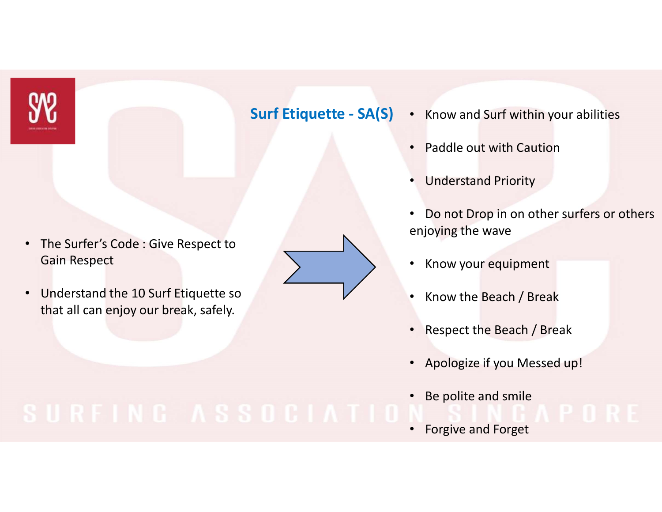

- The Surfer's Code : Give Respect to Gain Respect
- Understand the 10 Surf Etiquette so that all can enjoy our break, safely.

- Surf Etiquette SA(S) Know and Surf within your abilities<br>• Paddle out with Caution
	- Paddle out with Caution
	- Understand Priority
	- Do not Drop in on other surfers or others enjoying the wave
	- Know your equipment
	- Know the Beach / Break
	- Respect the Beach / Break
	- Apologize if you Messed up!
	- Be polite and smile

• Forgive and Forget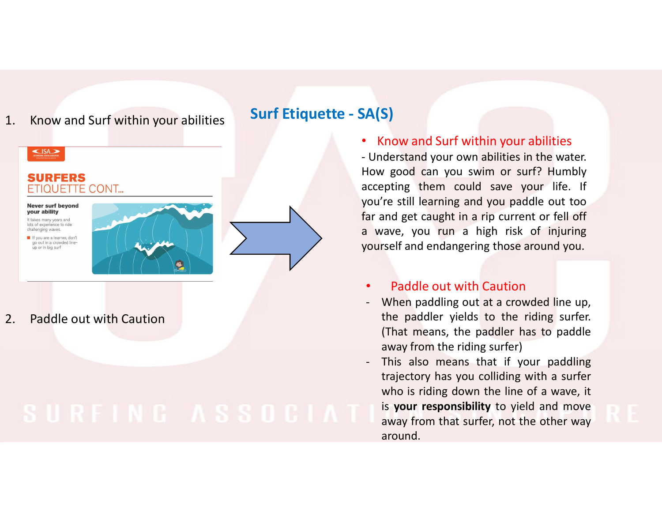# Surf Etiquette - SA(S)<br>
Surf Etiquette - SA(S)<br>
Surf within your abilities<br>
SURFERS<br>
SURFERS<br>
SURFERS 1. Know and Surf within your abilities<br>
SURFERS<br>
ETIQUETTE CONT...<br>
Never a test from the contract of the contract of the contract of the contract of the contract of the contract of the contract of the contract of the cont

• Know and Surf within your abilities

**SA(S)**<br>
• Know and Surf within your abilities<br>
• Understand your own abilities in the water.<br>
How good can you swim or surf? Humbly<br>
accepting them could save your life. If<br>
you're still learning and you paddle out too<br>
f SA(S)<br>
• Know and Surf within your abilities<br>
• Understand your own abilities in the water.<br>
How good can you swim or surf? Humbly<br>
accepting them could save your life. If<br>
you're still learning and you paddle out too<br>
far  $SA(S)$ <br>
• Know and Surf within your abilities<br>
- Understand your own abilities in the water.<br>
How good can you swim or surf? Humbly<br>
accepting them could save your life. If<br>
you're still learning and you paddle out too<br>
fa SA(S)<br>
• Know and Surf within your abilities<br>
• Understand your own abilities in the water.<br>
How good can you swim or surf? Humbly<br>
accepting them could save your life. If<br>
you're still learning and you paddle out too<br>
far **SA(S)**<br>• Know and Surf within your abilities<br>• Understand your own abilities in the water.<br>How good can you swim or surf? Humbly<br>accepting them could save your life. If<br>you're still learning and you paddle out too<br>far and **SA(S)**<br>
• Know and Surf within your abilities<br>
• Understand your own abilities in the water.<br>
How good can you swin or surf? Humbly<br>
accepting them could save your life. If<br>
you're still learning and you paddle out too<br> **SA(S)**<br>
• Know and Surf within your abilities<br>
- Understand your own abilities in the water.<br>
How good can you swim or surf? Humbly<br>
accepting them could save your life. If<br>
you're still learning and you paddle out too<br> A(S)<br>
Know and Surf within your abilities<br>
Understand your own abilities in the water.<br>
Iow good can you swim or surf? Humbly<br>
Iccepting them could save your life. If<br>
ou're still learning and you paddle out too<br>
ar and ge S)<br>
S)<br>
S)<br>
Chow and Surf within your abilities<br>
derstand your own abilities in the water.<br> *y* good can you swim or surf? Humbly<br>
pepting them could save your life. If<br> *i*re still learning and you paddle out too<br>
and get Show and Surf within your abilities<br>
Show and Surf within your abilities<br>
For good can you swim or surf? Humbly<br>
pepting them could save your life. If<br>
The still learning and you paddle out too<br>
and get caught in a rip cur Concernative with the variance of the water.<br>
Sole of the variance of the variance of the variance of the variance of the variance of the ridil learning and you paddle out too<br>
and get caught in a rip current or fell off<br> Understand your own abilities in the water.<br>
How good can you swim or surf? Humbly<br>
cccepting them could save your life. If<br>
rou're still learning and you paddle out too<br>
ar and get caught in a rip current or fell off<br>
i w

## • Paddle out with Caution

- 
- ighty good can you swim or surf? Humbly<br>
pepting them could save your life. If<br>
're still learning and you paddle out too<br>
and get caught in a rip current or fell off<br>
rave, you run a high risk of injuring<br>
rself and endan pting them could save your life. If<br>
're still learning and you paddle out too<br>
and get caught in a rip current or fell off<br>
rave, you run a high risk of injuring<br>
rself and endangering those around you.<br> **Paddle out with** The still learning and you paddle out too<br>
and get caught in a rip current or fell off<br>
rave, you run a high risk of injuring<br>
rself and endangering those around you.<br> **Paddle out with Caution**<br>
When paddling out at a crow and get caught in a rip current or fell off<br>vave, you run a high risk of injuring<br>rself and endangering those around you.<br>**Paddle out with Caution**<br>When paddling out at a crowded line up,<br>the paddler yields to the riding s around.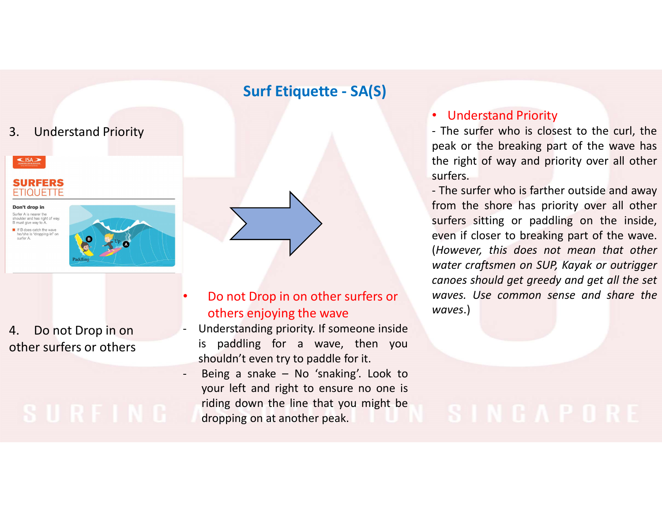

# others enjoying the wave

other surfers or others is paddling for a wave, then you<br>shouldn't even try to paddle for it.

## • Understand Priority

• Understand Priority<br>
• The surfer who is closest to the curl, the<br>
peak or the breaking part of the wave has<br>
the right of way and priority over all other<br>
surfers.<br>
• The surfer who is farther outside and away • Understand Priority<br>
• The surfer who is closest to the curl, the<br>
peak or the breaking part of the wave has<br>
the right of way and priority over all other<br>
surfers.<br>
• The surfer who is farther outside and away<br>
from the **• Understand Priority**<br>
• The surfer who is closest to the curl, the<br>
peak or the breaking part of the wave has<br>
the right of way and priority over all other<br>
surfers.<br>
• The surfer who is farther outside and away<br>
from t surfers. Surf Etiquette - SA(S)<br>
• Understand Priority<br>
- The surfer who is closest to the curpeak or the breaking part of the way

• Understand Priority<br>
• The surfer who is closest to the curl, the<br>
peak or the breaking part of the wave has<br>
the right of way and priority over all other<br>
surfers.<br>
– The surfer who is farther outside and away<br>
from the **• Understand Priority**<br>
• The surfer who is closest to the curl, the<br>
peak or the breaking part of the wave has<br>
the right of way and priority over all other<br>
surfers.<br>
- The surfer who is farther outside and away<br>
from t • Understand Priority<br>• The surfer who is closest to the curl, the<br>peak or the breaking part of the wave has<br>the right of way and priority over all other<br>surfers.<br>- The surfer who is farther outside and away<br>from the shore • Understand Priority<br>• The surfer who is closest to the curl, the<br>peak or the breaking part of the wave has<br>the right of way and priority over all other<br>surfers.<br>• The surfer who is farther outside and away<br>from the shore • Understand Priority<br>• The surfer who is closest to the curl, the<br>peak or the breaking part of the wave has<br>the right of way and priority over all other<br>surfers.<br>- The surfer who is farther outside and away<br>from the shore **• Understand Priority**<br>
• The surfer who is closest to the curl, the<br>
peak or the breaking part of the wave has<br>
the right of way and priority over all other<br>
surfers.<br>
- The surfer who is farther outside and away<br>
from t • Understand Priority<br>• The surfer who is closest to the curl, the<br>peak or the breaking part of the wave has<br>the right of way and priority over all other<br>surfers.<br>• The surfer who is farther outside and away<br>from the shore • Understand Priority<br>• The surfer who is closest to the curl, the<br>peak or the breaking part of the wave has<br>the right of way and priority over all other<br>surfers.<br>- The surfer who is farther outside and away<br>from the shore waves.) Do not Drop in on other surfers or waves. Use common sense and share the - The surfer who is closest to the curl, the surfer who is closest to the curl, the right of way and priority over all other eight of way and priority over all other surfers.<br>
Surfers who is farther outside and awa<br>
from t Figure 1997 and the transform of the wave has the right of way and priority over all other surfers.<br>
The surfer who is farther outside and away<br>
from the shoe has priority over all other<br>
surfers sitting or paddling on the the right of way and priority over all o<br>surfers.<br>The surfers of the right of way and priority over all o<br>surfers sitting or paddling on the inner<br>even if closer to breaking part of the we<br>even if closer to breaking part o - Being a snake – No 'snaking'. Look to<br>
your left and with the surfers.<br>
Left and the solution we are has priority over all other<br>
water craftsmen on SUP, Kayak or outrigger<br>
- Do not Drop in on other surfers or<br>
- Do not First surface who is farther outside and away<br>
The surfer who is farther outside and away<br>
from the shore has priority over all other<br>
surfers sitting or paddling on the inside,<br>
(However, this does not mean that other<br>
wa From the shore has priority over all other<br>surfers sitting or paddling on the inside,<br>even if closer to breaking part of the wave.<br>(However, this does not mean that other<br>varter crafessione on SUP, Kayak or outrigaer<br>Do no not the state of the state of the state of the state of the state of the state of the state of the state of the state of the state of the state of the state of the state of the state of the state of the state of the state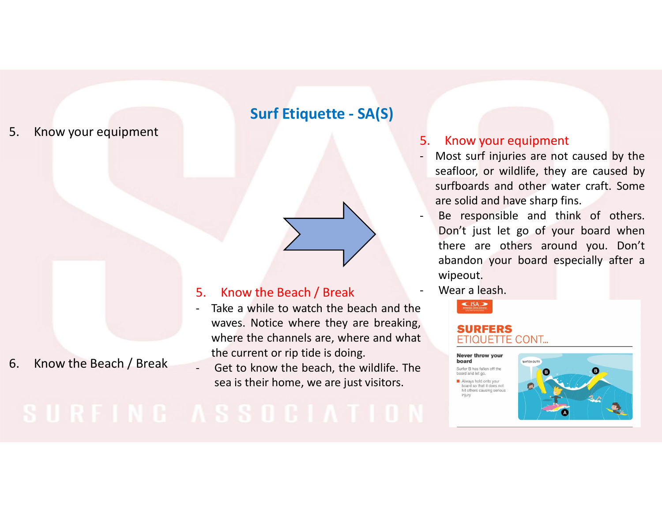# S. Know your equipment<br>S. Know your equipment<br> $\begin{aligned} \textbf{Surf Etiq} \end{aligned}$

- **Surf Etiquette SA(S)**<br>
5. Know you<br>
 Most surf in<br>
seafloor, or<br>
surfboards<br>
are solid and<br>
 Be response bon't just<br>
bon't just<br>
there are<br>
abandon y<br>
 Take a while to watch the beach and the<br>
waves. Notice where th
- 

# 5. Know the Beach<br>- Take a while to way<br>waves. Notice where the channels<br>where the channels<br>the current or rip ti<br>sea is their home,

- 5. Know your equipment<br>- Most surf injuries are not caused by the<br>seafloor, or wildlife, they are caused by<br>surfboards and other water craft. Some<br>are solid and have sharp fins. 5. Know your equipment<br>
- Most surf injuries are not caused by the<br>
seafloor, or wildlife, they are caused by<br>
surfboards and other water craft. Some<br>
are solid and have sharp fins.<br>
- Be responsible and think of others. Know your equipment<br>Most surf injuries are not caused by the<br>seafloor, or wildlife, they are caused by<br>surfboards and other water craft. Some<br>are solid and have sharp fins.<br>Be responsible and think of others.<br>Don't just le Know your equipment<br>Most surf injuries are not caused by the<br>seafloor, or wildlife, they are caused by<br>surfboards and other water craft. Some<br>are solid and have sharp fins.<br>Be responsible and think of others.<br>Don't just le Know your equipment<br>
Most surf injuries are not caused by the<br>
seafloor, or wildlife, they are caused by<br>
surfboards and other water craft. Some<br>
are solid and have sharp fins.<br>
Be responsible and think of others.<br>
Don't j Surf Etiquette - SA(S)<br>5. Know your equipment<br>- Most surf injuries are not caused by t<br>seafloor, or wildlife, they are caused
- 5. Know your equipment<br>- Most surf injuries are not caused by the<br>seafloor, or wildlife, they are caused by<br>surfboards and other water craft. Some<br>are solid and have sharp fins.<br>- Be responsible and think of others.<br>Don't Know your equipment<br>Most surf injuries are not caused by the<br>teafloor, or wildlife, they are caused by<br>surfboards and other water craft. Some<br>are solid and have sharp fins.<br>Be responsible and think of others.<br>Don't just le Know your equipment<br>Most surf injuries are not caused by the<br>teafloor, or wildlife, they are caused by<br>surfboards and other water craft. Some<br>pre solid and have sharp fins.<br>Be responsible and think of others.<br>Don't just le Know your equipment<br>
Most surf injuries are not caused by the<br>
eeafloor, or wildlife, they are caused by<br>
surfboards and other water craft. Some<br>
are solid and have sharp fins.<br>
Be responsible and think of others.<br>
Don't j wipeout. 5. Know your equipment<br>- Most surf injuries are not caused by the<br>seafloor, or wildlife, they are caused by<br>surfboards and other water craft. Some<br>are solid and have sharp fins.<br>- Be responsible and think of others.<br>Don't **Surf Etiquette - SA(S)**<br>
5. Know your equipment<br>
Most surf injuries are not caused by the<br>
seafloor, or wildlife, they are caused by<br>
surfboards and other water craft. Some<br>
are solid and have sharp fins.<br>
Der exponsible **S.** Know your equipment<br>
Most surf injuries are not caused by the<br>
seafloor, or wildlife, they are caused by<br>
surfboards and other waves<br>
are solid and have sharp fins.<br>
Don't just let go of your board when<br>
there are ot 5. Know your equipment<br>
Most surf injuries are not caused by the<br>
seafloor, or wildlife, they are caused by<br>
surfboards and other water craft. Some<br>
are solid and have sharp fins.<br>
Be responsible and think of others.<br>
Don' The current or the teach of the search of the search of the search of the current or the beach / Break and the waves. Notice where they are breaking,<br>
Take a while to watch the beach and the waves. Notice where they are br Figure 11 The set of the second by the beach of the beach and the set of the set of the set of the set of the set of the set of the beach, the beach and the wildlife. The set of the beach, the beach and the wildlife. The s sea is their home, we are just visitors.<br>
Sea is the proposition of the seach of the beach *i* Break a while to watch the beach and the season of the season of the season of the season of the season of the season of the se
	-



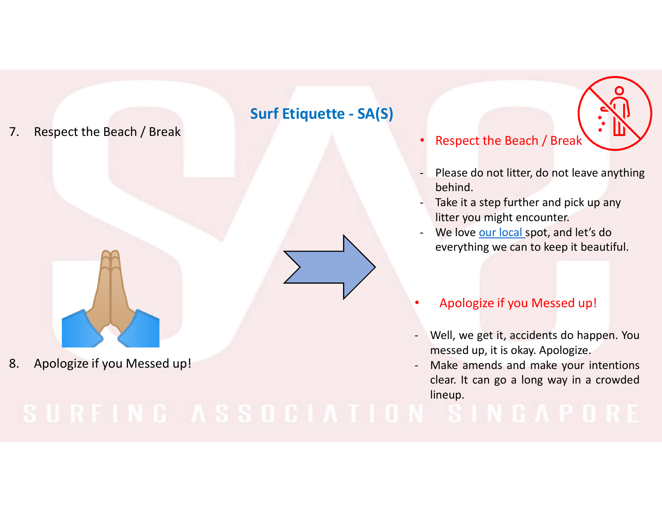# Surf Etiq<br>
7. Respect the Beach / Break<br>
1994

## • Respect the Beach / Break

- Please do not litter, do not leave anything<br>- Please do not litter, do not leave anything<br>- Take it a step further and pick up any<br>- We love our local spot, and let's do behind. - Respect the Beach / Break<br>- Please do not litter, do not leave anything<br>behind.<br>- Take it a step further and pick up any<br>litter you might encounter.<br>- We love <u>our local</u> spot, and let's do<br>everything we can to keep it b Respect the Beach / Break<br>- Please do not litter, do not leave anything<br>behind.<br>- Take it a step further and pick up any<br>litter you might encounter.<br>- We love <u>our local s</u>pot, and let's do<br>everything we can to keep it bea Surf Etiquette - SA(S)<br>Respect the Beach / Break<br>Please do not litter, do not leave anythi
	- litter you might encounter.
	- everything we can to keep it beautiful.

# • Apologize if you Messed up!

- 
- Respect the Beach / Break<br>
 Please do not litter, do not leave anything<br>
behind.<br>
 Take it a step further and pick up any<br>
litter you might encounter.<br>
 We love <u>our local</u> spot, and let's do<br>
everything we can to kee Mespect the Beach / Break.<br>
Please do not litter, do not leave anything<br>
behind.<br>
Take it a step further and pick up any<br>
litter you might encounter.<br>
We love <u>our local</u> spot, and let's do<br>
everything we can to keep it be - Please do not litter, do not leave anything<br>behind.<br>- Take it a step further and pick up any<br>litter you might encounter.<br>- We love <u>our local</u> spot, and let's do<br>everything we can to keep it beautiful.<br>- Apologize if you Please do not litter, do not leave anything<br>behind.<br>Take it a step further and pick up any<br>litter you might encounter.<br>We love <u>our local</u> spot, and let's do<br>everything we can to keep it beautiful.<br>Apologize if you Messed lineup.

# 8. Apologize if you Messed up!<br>
Lear. It can go a long way in a crowded<br>
lineup.